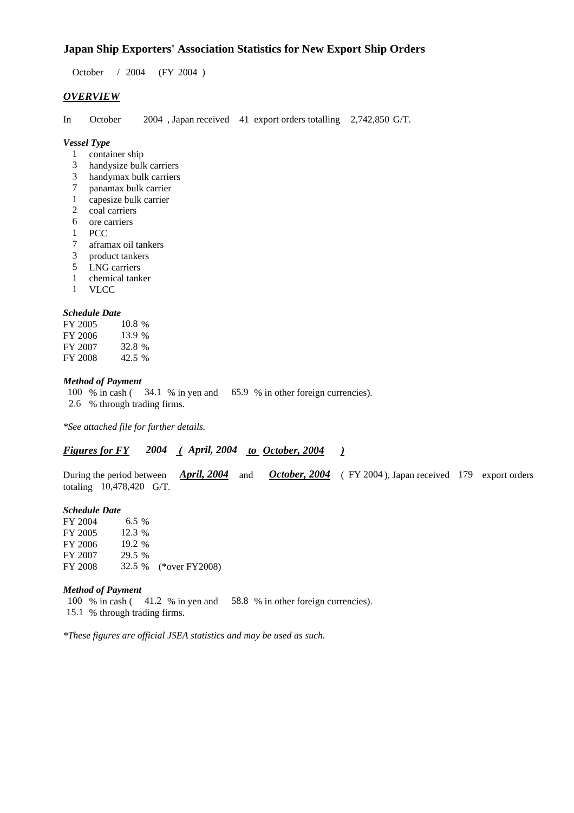### **Japan Ship Exporters' Association Statistics for New Export Ship Orders**

October / 2004 (FY 2004 )

#### *OVERVIEW*

In October 2004 , Japan received 41 export orders totalling 2,742,850 G/T.

#### *Vessel Type*

- 1 container ship
- 3 handysize bulk carriers
- 3 handymax bulk carriers
- 7 panamax bulk carrier
- 1 capesize bulk carrier
- 2 coal carriers
- 6 ore carriers
- 1 PCC
- 7 aframax oil tankers
- 3 product tankers
- 5 LNG carriers
- 1 chemical tanker
- 1 VLCC

### *Schedule Date*

| FY 2005 | $10.8\%$ |
|---------|----------|
| FY 2006 | 13.9 %   |
| FY 2007 | 32.8%    |
| FY 2008 | 42.5 %   |

#### *Method of Payment*

100 % in cash ( 34.1 % in yen and 65.9 % in other foreign currencies). 2.6 % through trading firms.

*\*See attached file for further details.*

### *Figures for FY 2004 ( April, 2004 to October, 2004 )*

During the period between *April, 2004* and *October, 2004* (FY 2004), Japan received 179 export orders totaling 10,478,420 G/T.

#### *Schedule Date*

FY 2004 6.5 % FY 2005 12.3 % FY 2006 19.2 % FY 2007 29.5 % FY 2008 32.5 % (\*over FY2008)

#### *Method of Payment*

100 % in cash ( 41.2 % in yen and 58.8 % in other foreign currencies). 15.1 % through trading firms.

*\*These figures are official JSEA statistics and may be used as such.*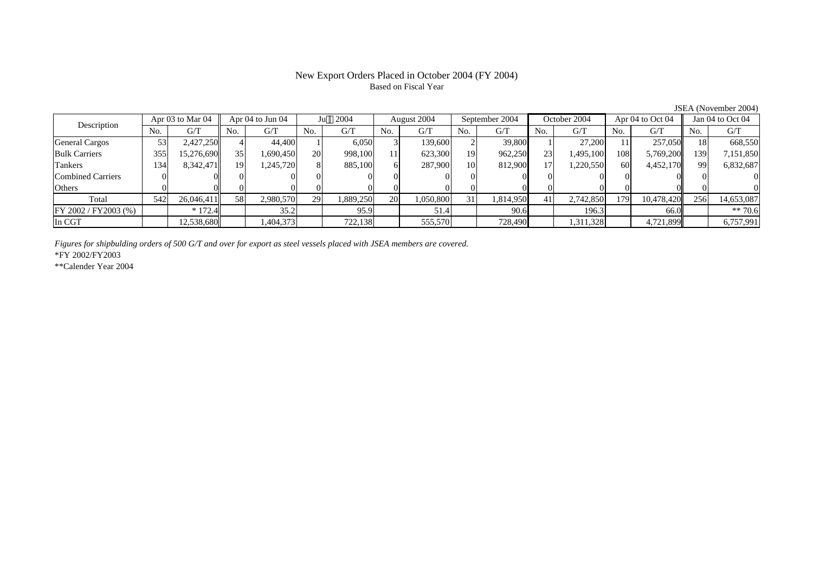# Based on Fiscal Year

Description Apr 03 to Mar 04 Apr 04 to Jun 04 Ju 2004 August 2004 September 2004 October 2004 Apr 04 to Oct 04 Jan 04 to Oct 04 No. $No.$   $G/T$ T || No. | G/T || No. | G/T || No. | G/T || No. | G/T || G/T || No. | G/T || No. | G/T || No. | G/T General Cargos ( 53 2,427,250 4 44,400 1 6,050 3 139,600 2 39,800 1 27,200 11 257,050 18 668,550 Bulk Carriers 3555| 15,276,690|| 35| 1,690,450| 20| 998,100| 11| 623,300| 19| 962,250| 23| 1,495,100| 108| 5,769,200|| 139| 7,151,850 Tankers 1344| 8,342,471|| 19| 1,245,720| 8| 885,100| 6| 287,900| 10| 812,900| 17| 1,220,550| 60| 4,452,170|| 99| 6,832,687 Combined Carriers 1 0 0 0 0 0 0 0 0 0 0 0 0 0 0 0 0 **Others** s and  $\vert 0$  0 0 0 0 0 0 0 0 0 0 0 0 0 0 0 Total 5422| 26,046,411|| 58| 2,980,570| 29| 1,889,250| 20| 1,050,800| 31| 1,814,950| 41| 2,742,850| 179| 10,478,420|| 256| 14,653,087 FY 2002 / FY2003 (%) \* 172.4 35.2 95.9 51.4 90.6 196.3 66.0 \*\* 70.6 In CGT12,538,680|| | 1,404,373| | 722,138| | 555,570| | 728,490| | 1,311,328| | 4,721,899|| | 6,757,991 |

*Figures for shipbulding orders of 500 G/T and over for export as steel vessels placed with JSEA members are covered.*

\*FY 2002/FY2003

\*\*Calender Year 2004

JSEA (November 2004)

# New Export Orders Placed in October 2004 (FY 2004)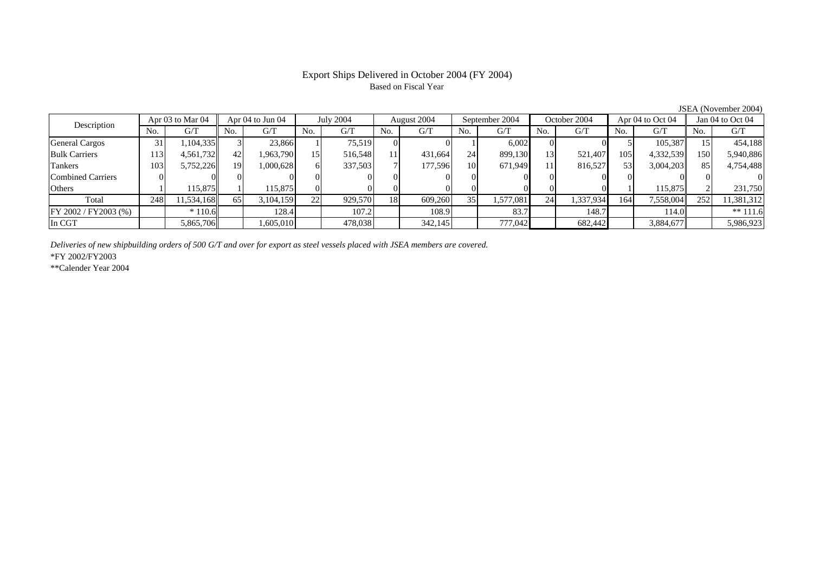## Based on Fiscal Year

Description Apr 03 to Mar 04 Apr 04 to Jun 04 July 2004 August 2004 September 2004 October 2004 Apr 04 to Oct 04 Jan 04 to Oct 04<br>No. 1 G/T No. 1 G/T No. 1 G/T No. 1 G/T No. 1 G/T No. 1 G/T No. 1 G/T No. 1 G/T No. 1 G/T No No.  $G/T$ T || No. | G/T || No. | G/T || No. | G/T || No. | G/T || G/T || No. | G/T || No. | G/T || No. | G/T General Cargos ( 31 1,104,335 3 23,866 1 75,519 0 0 1 6,002 0 0 5 105,387 15 454,188 Bulk Carriers 1133| 4,561,732|| 42| 1,963,790| 15| 516,548| 11| 431,664| 24| 899,130| 13| 521,407| 105| 4,332,539|| 150| 5,940,886 Tankers 1033| 5,752,226|| 19| 1,000,628| 6| 337,503| 7| 177,596| 10| 671,949| 11| 816,527| 53| 3,004,203|| 85| 4,754,488 Combined Carriers 0 0 0 0 0 0 0 0 0 0 0 0 0 0 0 0 **Others** s and  $1$ 1 115,875 1 115,875 0 0 0 0 0 0 0 0 0 1 115,875 2 231,750 Total 2488| 11,534,168|| 65| 3,104,159| 22| 929,570| 18| 609,260| 35| 1,577,081| 24| 1,337,934| 164| 7,558,004|| 252| 11,381,312 FY 2002 / FY2003 (%) \* 110.6 128.4 107.2 108.9 83.7 148.7 114.0 \*\* 111.6 In CGT5,865,706 1,605,010 478,038 342,145 777,042 682,442 3,884,677 5,986,923

*Deliveries of new shipbuilding orders of 500 G/T and over for export as steel vessels placed with JSEA members are covered.*

\*FY 2002/FY2003

\*\*Calender Year 2004

JSEA (November 2004)

# Export Ships Delivered in October 2004 (FY 2004)